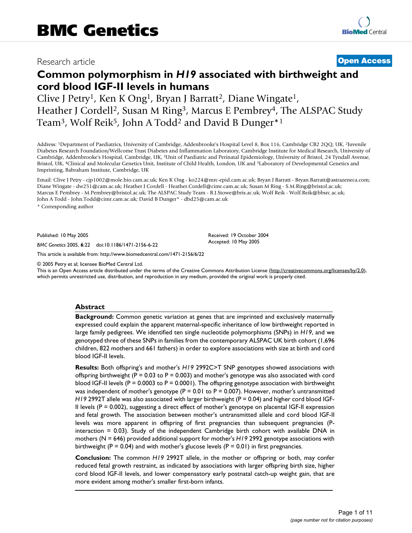# Research article **[Open Access](http://www.biomedcentral.com/info/about/charter/)**

# **Common polymorphism in** *H19* **associated with birthweight and cord blood IGF-II levels in humans**

Clive J Petry<sup>1</sup>, Ken K Ong<sup>1</sup>, Bryan J Barratt<sup>2</sup>, Diane Wingate<sup>1</sup>, Heather J Cordell<sup>2</sup>, Susan M Ring<sup>3</sup>, Marcus E Pembrey<sup>4</sup>, The ALSPAC Study Team<sup>3</sup>, Wolf Reik<sup>5</sup>, John A Todd<sup>2</sup> and David B Dunger<sup>\*1</sup>

Address: 1Department of Paediatrics, University of Cambridge, Addenbrooke's Hospital Level 8, Box 116, Cambridge CB2 2QQ, UK, 2Juvenile Diabetes Research Foundation/Wellcome Trust Diabetes and Inflammation Laboratory, Cambridge Institute for Medical Research, University of Cambridge, Addenbrooke's Hospital, Cambridge, UK, 3Unit of Paediatric and Perinatal Epidemiology, University of Bristol, 24 Tyndall Avenue, Bristol, UK, 4Clinical and Molecular Genetics Unit, Institute of Child Health, London, UK and 5Laboratory of Developmental Genetics and Imprinting, Babraham Institute, Cambridge, UK

Email: Clive J Petry - cjp1002@mole.bio.cam.ac.uk; Ken K Ong - ko224@mrc-epid.cam.ac.uk; Bryan J Barratt - Bryan.Barratt@astrazeneca.com; Diane Wingate - dw251@cam.ac.uk; Heather J Cordell - Heather.Cordell@cimr.cam.ac.uk; Susan M Ring - S.M.Ring@bristol.ac.uk; Marcus E Pembrey - M.Pembrey@bristol.ac.uk; The ALSPAC Study Team - B.J.Stowe@bris.ac.uk; Wolf Reik - Wolf.Reik@bbsrc.ac.uk; John A Todd - John.Todd@cimr.cam.ac.uk; David B Dunger\* - dbd25@cam.ac.uk

> Received: 19 October 2004 Accepted: 10 May 2005

\* Corresponding author

Published: 10 May 2005

*BMC Genetics* 2005, **6**:22 doi:10.1186/1471-2156-6-22

[This article is available from: http://www.biomedcentral.com/1471-2156/6/22](http://www.biomedcentral.com/1471-2156/6/22)

© 2005 Petry et al; licensee BioMed Central Ltd.

This is an Open Access article distributed under the terms of the Creative Commons Attribution License [\(http://creativecommons.org/licenses/by/2.0\)](http://creativecommons.org/licenses/by/2.0), which permits unrestricted use, distribution, and reproduction in any medium, provided the original work is properly cited.

#### **Abstract**

**Background:** Common genetic variation at genes that are imprinted and exclusively maternally expressed could explain the apparent maternal-specific inheritance of low birthweight reported in large family pedigrees. We identified ten single nucleotide polymorphisms (SNPs) in *H19*, and we genotyped three of these SNPs in families from the contemporary ALSPAC UK birth cohort (1,696 children, 822 mothers and 661 fathers) in order to explore associations with size at birth and cord blood IGF-II levels.

**Results:** Both offspring's and mother's *H19* 2992C>T SNP genotypes showed associations with offspring birthweight ( $P = 0.03$  to  $P = 0.003$ ) and mother's genotype was also associated with cord blood IGF-II levels ( $P = 0.0003$  to  $P = 0.0001$ ). The offspring genotype association with birthweight was independent of mother's genotype ( $P = 0.01$  to  $P = 0.007$ ). However, mother's untransmitted *H19 2992T* allele was also associated with larger birthweight (P = 0.04) and higher cord blood IGF-II levels ( $P = 0.002$ ), suggesting a direct effect of mother's genotype on placental IGF-II expression and fetal growth. The association between mother's untransmitted allele and cord blood IGF-II levels was more apparent in offspring of first pregnancies than subsequent pregnancies (Pinteraction = 0.03). Study of the independent Cambridge birth cohort with available DNA in mothers (N = 646) provided additional support for mother's *H19* 2992 genotype associations with birthweight ( $P = 0.04$ ) and with mother's glucose levels ( $P = 0.01$ ) in first pregnancies.

**Conclusion:** The common *H19* 2992T allele, in the mother or offspring or both, may confer reduced fetal growth restraint, as indicated by associations with larger offspring birth size, higher cord blood IGF-II levels, and lower compensatory early postnatal catch-up weight gain, that are more evident among mother's smaller first-born infants.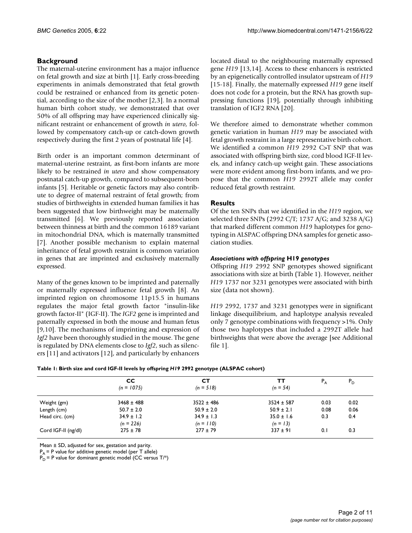# **Background**

The maternal-uterine environment has a major influence on fetal growth and size at birth [1]. Early cross-breeding experiments in animals demonstrated that fetal growth could be restrained or enhanced from its genetic potential, according to the size of the mother [2,3]. In a normal human birth cohort study, we demonstrated that over 50% of all offspring may have experienced clinically significant restraint or enhancement of growth *in utero*, followed by compensatory catch-up or catch-down growth respectively during the first 2 years of postnatal life [4].

Birth order is an important common determinant of maternal-uterine restraint, as first-born infants are more likely to be restrained *in utero* and show compensatory postnatal catch-up growth, compared to subsequent-born infants [5]. Heritable or genetic factors may also contribute to degree of maternal restraint of fetal growth; from studies of birthweights in extended human families it has been suggested that low birthweight may be maternally transmitted [6]. We previously reported association between thinness at birth and the common 16189 variant in mitochondrial DNA, which is maternally transmitted [7]. Another possible mechanism to explain maternal inheritance of fetal growth restraint is common variation in genes that are imprinted and exclusively maternally expressed.

Many of the genes known to be imprinted and paternally or maternally expressed influence fetal growth [8]. An imprinted region on chromosome 11p15.5 in humans regulates the major fetal growth factor "insulin-like growth factor-II" (IGF-II). The *IGF2* gene is imprinted and paternally expressed in both the mouse and human fetus [9,10]. The mechanisms of imprinting and expression of *Igf2* have been thoroughly studied in the mouse. The gene is regulated by DNA elements close to *Igf2*, such as silencers [11] and activators [12], and particularly by enhancers located distal to the neighbouring maternally expressed gene *H19* [13,14]. Access to these enhancers is restricted by an epigenetically controlled insulator upstream of *H19* [15-18]. Finally, the maternally expressed *H19* gene itself does not code for a protein, but the RNA has growth suppressing functions [19], potentially through inhibiting translation of IGF2 RNA [20].

We therefore aimed to demonstrate whether common genetic variation in human *H19* may be associated with fetal growth restraint in a large representative birth cohort. We identified a common *H19* 2992 C>T SNP that was associated with offspring birth size, cord blood IGF-II levels, and infancy catch-up weight gain. These associations were more evident among first-born infants, and we propose that the common *H19* 2992T allele may confer reduced fetal growth restraint.

# **Results**

Of the ten SNPs that we identified in the *H19* region, we selected three SNPs (2992 C/T; 1737 A/G; and 3238 A/G) that marked different common *H19* haplotypes for genotyping in ALSPAC offspring DNA samples for genetic association studies.

### *Associations with offspring* **H19** *genotypes*

Offspring *H19* 2992 SNP genotypes showed significant associations with size at birth (Table [1\)](#page-1-0). However, neither *H19* 1737 nor 3231 genotypes were associated with birth size (data not shown).

*H19* 2992, 1737 and 3231 genotypes were in significant linkage disequilibrium, and haplotype analysis revealed only 7 genotype combinations with frequency >1%. Only those two haplotypes that included a 2992T allele had birthweights that were above the average [see Additional file 1].

<span id="page-1-0"></span>

| Table 1: Birth size and cord IGF-II levels by offspring H19 2992 genotype (ALSPAC cohort) |  |
|-------------------------------------------------------------------------------------------|--|
|                                                                                           |  |

|                     | <b>CC</b><br>$(n = 1075)$     | CТ<br>$(n = 518)$             | тт<br>$(n = 54)$             | $P_{A}$ | $P_{\rm D}$ |
|---------------------|-------------------------------|-------------------------------|------------------------------|---------|-------------|
| Weight (gm)         | $3468 \pm 488$                | $3522 \pm 486$                | $3524 \pm 587$               | 0.03    | 0.02        |
| Length (cm)         | $50.7 \pm 2.0$                | $50.9 \pm 2.0$                | $50.9 \pm 2.1$               | 0.08    | 0.06        |
| Head circ. (cm)     | $34.9 \pm 1.2$<br>$(n = 226)$ | $34.9 \pm 1.3$<br>$(n = 110)$ | $35.0 \pm 1.6$<br>$(n = 13)$ | 0.3     | 0.4         |
| Cord IGF-II (ng/dl) | $275 \pm 78$                  | $277 \pm 79$                  | $337 \pm 91$                 | 0.1     | 0.3         |

Mean ± SD, adjusted for sex, gestation and parity.

 $P_A$  = P value for additive genetic model (per T allele)

 $P_D$  = P value for dominant genetic model (CC versus T/\*)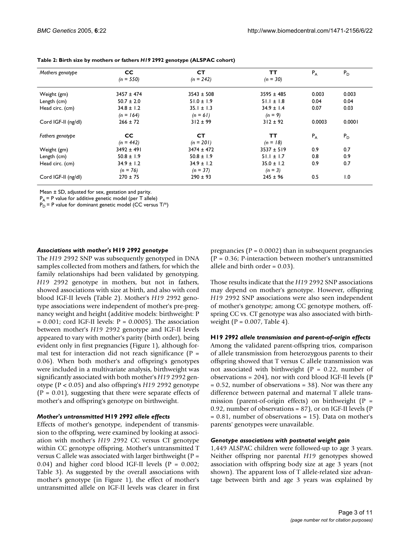| Mothers genotype    | <b>CC</b>      | <b>CT</b>      | ТT             | $P_A$  | $P_D$  |
|---------------------|----------------|----------------|----------------|--------|--------|
|                     | $(n = 550)$    | $(n = 242)$    | $(n = 30)$     |        |        |
| Weight (gm)         | $3457 \pm 474$ | $3543 \pm 508$ | $3595 \pm 485$ | 0.003  | 0.003  |
| Length (cm)         | $50.7 \pm 2.0$ | $51.0 \pm 1.9$ | $51.1 \pm 1.8$ | 0.04   | 0.04   |
| Head circ. (cm)     | $34.8 \pm 1.2$ | $35.1 \pm 1.3$ | $34.9 \pm 1.4$ | 0.07   | 0.03   |
|                     | $(n = 164)$    | $(n = 61)$     | $(n = 9)$      |        |        |
| Cord IGF-II (ng/dl) | $266 \pm 72$   | $312 \pm 99$   | $312 \pm 92$   | 0.0003 | 0.0001 |
| Fathers genotype    | <b>CC</b>      | <b>CT</b>      | ТT             | $P_A$  | $P_D$  |
|                     | $(n = 442)$    | $(n = 201)$    | $(n = 18)$     |        |        |
| Weight (gm)         | $3492 \pm 491$ | $3474 \pm 472$ | $3537 \pm 519$ | 0.9    | 0.7    |
| Length (cm)         | $50.8 \pm 1.9$ | $50.8 \pm 1.9$ | $51.1 \pm 1.7$ | 0.8    | 0.9    |
| Head circ. (cm)     | $34.9 \pm 1.2$ | $34.9 \pm 1.2$ | $35.0 \pm 1.2$ | 0.9    | 0.7    |
|                     | $(n = 76)$     | $(n = 37)$     | $(n = 3)$      |        |        |
| Cord IGF-II (ng/dl) | $270 \pm 75$   | $290 \pm 93$   | $245 \pm 96$   | 0.5    | 1.0    |

<span id="page-2-0"></span>**Table 2: Birth size by mothers or fathers** *H19* **2992 genotype (ALSPAC cohort)**

Mean ± SD, adjusted for sex, gestation and parity.

 $P_A$  = P value for additive genetic model (per T allele)

 $P_D = P$  value for dominant genetic model (CC versus T/\*)

#### *Associations with mother's* **H19** *2992 genotype*

The *H19* 2992 SNP was subsequently genotyped in DNA samples collected from mothers and fathers, for which the family relationships had been validated by genotyping. *H19* 2992 genotype in mothers, but not in fathers, showed associations with size at birth, and also with cord blood IGF-II levels (Table [2\)](#page-2-0). Mother's *H19* 2992 genotype associations were independent of mother's pre-pregnancy weight and height (additive models: birthweight: P  $= 0.001$ ; cord IGF-II levels:  $P = 0.0005$ ). The association between mother's *H19* 2992 genotype and IGF-II levels appeared to vary with mother's parity (birth order), being evident only in first pregnancies (Figure [1](#page-3-0)), although formal test for interaction did not reach significance ( $P =$ 0.06). When both mother's and offspring's genotypes were included in a multivariate analysis, birthweight was significantly associated with both mother's *H19* 2992 genotype (P < 0.05) and also offspring's *H19* 2992 genotype  $(P = 0.01)$ , suggesting that there were separate effects of mother's and offspring's genotype on birthweight.

#### *Mother's untransmitted* **H19** *2992 allele effects*

Effects of mother's genotype, independent of transmission to the offspring, were examined by looking at association with mother's *H19* 2992 CC versus CT genotype within CC genotype offspring. Mother's untransmitted T versus C allele was associated with larger birthweight ( $P =$ 0.04) and higher cord blood IGF-II levels ( $P = 0.002$ ; Table [3\)](#page-4-0). As suggested by the overall associations with mother's genotype (in Figure [1](#page-3-0)), the effect of mother's untransmitted allele on IGF-II levels was clearer in first

pregnancies ( $P = 0.0002$ ) than in subsequent pregnancies (P = 0.36; P-interaction between mother's untransmitted allele and birth order = 0.03).

Those results indicate that the *H19* 2992 SNP associations may depend on mother's genotype. However, offspring *H19* 2992 SNP associations were also seen independent of mother's genotype; among CC genotype mothers, offspring CC vs. CT genotype was also associated with birthweight ( $P = 0.007$ , Table [4\)](#page-4-1).

#### **H19** *2992 allele transmission and parent-of-origin effects*

Among the validated parent-offspring trios, comparison of allele transmission from heterozygous parents to their offspring showed that T versus C allele transmission was not associated with birthweight ( $P = 0.22$ , number of observations = 204), nor with cord blood IGF-II levels (P = 0.52, number of observations = 38). Nor was there any difference between paternal and maternal T allele transmission (parent-of-origin effects) on birthweight ( $P =$ 0.92, number of observations = 87), or on IGF-II levels (P = 0.81, number of observations = 15). Data on mother's parents' genotypes were unavailable.

#### *Genotype associations with postnatal weight gain*

1,449 ALSPAC children were followed-up to age 3 years. Neither offspring nor parental *H19* genotypes showed association with offspring body size at age 3 years (not shown). The apparent loss of T allele-related size advantage between birth and age 3 years was explained by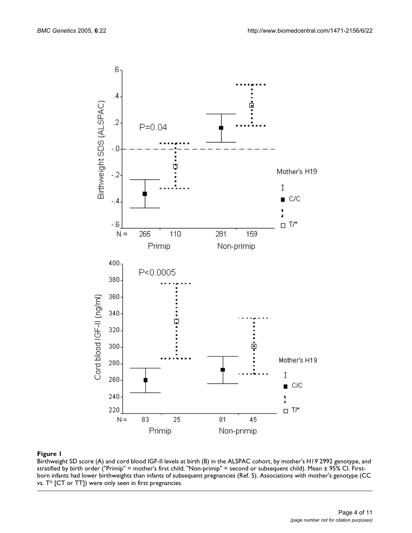<span id="page-3-0"></span>

Birthweight SD score (A) and cord blood IGF-II levels at birth (B) in the ALSPAC cohort, by mother's *H19* 2992 genotype, and stratified by birth order ("Primip" = mother's first child; "Non-primip" = second or subsequent child). Mean ± 95% CI. Firstborn infants had lower birthweights than infants of subsequent pregnancies (Ref. 5). Associations with mother's genotype (CC vs. T\* [CT or TT]) were only seen in first pregnancies.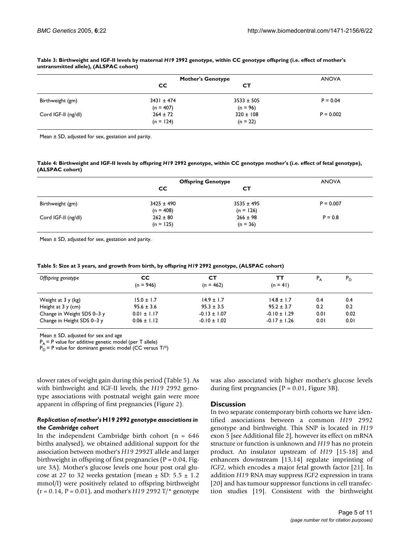|                     | <b>Mother's Genotype</b>    |                             | <b>ANOVA</b> |  |
|---------------------|-----------------------------|-----------------------------|--------------|--|
|                     | <b>CC</b>                   | <b>CT</b>                   |              |  |
| Birthweight (gm)    | $3431 \pm 474$              | $3533 \pm 505$              | $P = 0.04$   |  |
| Cord IGF-II (ng/dl) | $(n = 407)$<br>$264 \pm 72$ | $(n = 96)$<br>$320 \pm 108$ | $P = 0.002$  |  |
|                     | $(n = 124)$                 | $(n = 22)$                  |              |  |

#### <span id="page-4-0"></span>**Table 3: Birthweight and IGF-II levels by maternal** *H19* **2992 genotype, within CC genotype offspring (i.e. effect of mother's untransmitted allele), (ALSPAC cohort)**

Mean ± SD, adjusted for sex, gestation and parity.

#### <span id="page-4-1"></span>**Table 4: Birthweight and IGF-II levels by offspring** *H19* **2992 genotype, within CC genotype mother's (i.e. effect of fetal genotype), (ALSPAC cohort)**

|                     | <b>Offspring Genotype</b> |                | <b>ANOVA</b> |  |
|---------------------|---------------------------|----------------|--------------|--|
|                     | <b>CC</b>                 | <b>CT</b>      |              |  |
| Birthweight (gm)    | $3425 \pm 490$            | $3535 \pm 495$ | $P = 0.007$  |  |
|                     | $(n = 408)$               | $(n = 126)$    |              |  |
| Cord IGF-II (ng/dl) | $262 \pm 80$              | $266 \pm 98$   | $P = 0.8$    |  |
|                     | $(n = 125)$               | $(n = 36)$     |              |  |

Mean ± SD, adjusted for sex, gestation and parity.

<span id="page-4-2"></span>

|  |  |  |  | Table 5: Size at 3 years, and growth from birth, by offspring H19 2992 genotype, (ALSPAC cohort) |  |
|--|--|--|--|--------------------------------------------------------------------------------------------------|--|
|--|--|--|--|--------------------------------------------------------------------------------------------------|--|

| Offspring genotype         | CC.<br>$(n = 946)$ | CТ<br>$(n = 462)$ | тт<br>$(n = 41)$ |      | $P_{\rm D}$ |
|----------------------------|--------------------|-------------------|------------------|------|-------------|
|                            |                    |                   |                  |      |             |
| Weight at 3 y (kg)         | $15.0 \pm 1.7$     | $14.9 \pm 1.7$    | $14.8 \pm 1.7$   | 0.4  | 0.4         |
| Height at $3 \times (cm)$  | $95.6 \pm 3.6$     | $95.3 \pm 3.5$    | $95.2 \pm 3.7$   | 0.2  | 0.2         |
| Change in Weight SDS 0-3 y | $0.01 \pm 1.17$    | $-0.13 \pm 1.07$  | $-0.10 \pm 1.29$ | 0.01 | 0.02        |
| Change in Height SDS 0-3 y | $0.06 \pm 1.12$    | $-0.10 \pm 1.02$  | $-0.17 \pm 1.26$ | 0.01 | 0.01        |

Mean ± SD, adjusted for sex and age

 $P_A$  = P value for additive genetic model (per T allele)

 $P_D$  = P value for dominant genetic model (CC versus T/\*)

slower rates of weight gain during this period (Table [5\)](#page-4-2). As with birthweight and IGF-II levels, the *H19* 2992 genotype associations with postnatal weight gain were more apparent in offspring of first pregnancies (Figure 2).

#### *Replication of mother's* **H19** *2992 genotype associations in the Cambridge cohort*

In the independent Cambridge birth cohort ( $n = 646$ ) births analysed), we obtained additional support for the association between mother's *H19* 2992T allele and larger birthweight in offspring of first pregnancies ( $P = 0.04$ , Figure [3A](#page-6-0)). Mother's glucose levels one hour post oral glucose at 27 to 32 weeks gestation (mean  $\pm$  SD: 5.5  $\pm$  1.2 mmol/l) were positively related to offspring birthweight (r = 0.14, P = 0.01), and mother's *H19* 2992 T/\* genotype was also associated with higher mother's glucose levels during first pregnancies ( $P = 0.01$ , Figure [3](#page-6-0)B).

#### **Discussion**

In two separate contemporary birth cohorts we have identified associations between a common *H19* 2992 genotype and birthweight. This SNP is located in *H19* exon 5 [see Additional file 2], however its effect on mRNA structure or function is unknown and *H19* has no protein product. An insulator upstream of *H19* [15-18] and enhancers downstream [13,14] regulate imprinting of *IGF2*, which encodes a major fetal growth factor [21]. In addition *H19* RNA may suppress *IGF2* expression in trans [20] and has tumour suppressor functions in cell transfection studies [19]. Consistent with the birthweight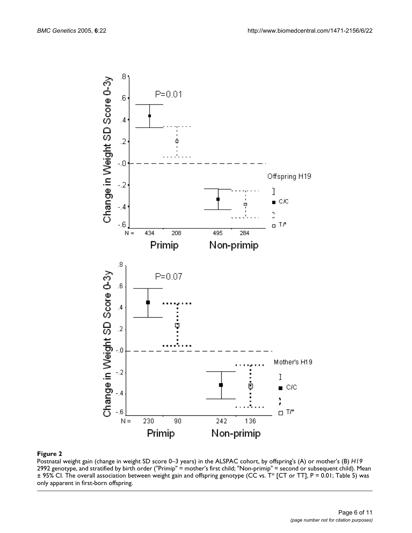

Postnatal weight gain (change in weight SD score 0–3 years) in the ALSPAC cohort, by offspring's (A) or mother's (B) *H19*  2992 genotype, and stratified by birth order ("Primip" = mother's first child; "Non-primip" = second or subsequent child). Mean ± 95% CI. The overall association between weight gain and offspring genotype (CC vs. T\* [CT or TT], P = 0.01; Table 5) was only apparent in first-born offspring.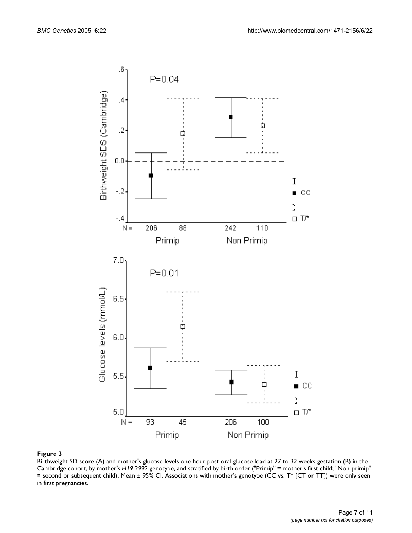<span id="page-6-0"></span>

Birthweight SD score (A) and mother's glucose levels one hour post-oral glucose load at 27 to 32 weeks gestation (B) in the Cambridge cohort, by mother's *H19* 2992 genotype, and stratified by birth order ("Primip" = mother's first child; "Non-primip" = second or subsequent child). Mean ± 95% CI. Associations with mother's genotype (CC vs. T\* [CT or TT]) were only seen in first pregnancies.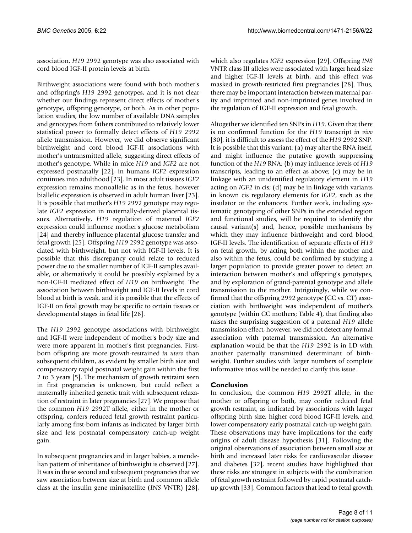association, *H19* 2992 genotype was also associated with cord blood IGF-II protein levels at birth.

Birthweight associations were found with both mother's and offspring's *H19* 2992 genotypes, and it is not clear whether our findings represent direct effects of mother's genotype, offspring genotype, or both. As in other population studies, the low number of available DNA samples and genotypes from fathers contributed to relatively lower statistical power to formally detect effects of *H19* 2992 allele transmission. However, we did observe significant birthweight and cord blood IGF-II associations with mother's untransmitted allele, suggesting direct effects of mother's genotype. While in mice *H19* and *IGF2* are not expressed postnatally [22], in humans *IGF2* expression continues into adulthood [23]. In most adult tissues *IGF2* expression remains monoallelic as in the fetus, however biallelic expression is observed in adult human liver [23]. It is possible that mother's *H19* 2992 genotype may regulate *IGF2* expression in maternally-derived placental tissues. Alternatively, *H19* regulation of maternal *IGF2* expression could influence mother's glucose metabolism [24] and thereby influence placental glucose transfer and fetal growth [25]. Offspring *H19* 2992 genotype was associated with birthweight, but not with IGF-II levels. It is possible that this discrepancy could relate to reduced power due to the smaller number of IGF-II samples available, or alternatively it could be possibly explained by a non-IGF-II mediated effect of *H19* on birthweight. The association between birthweight and IGF-II levels in cord blood at birth is weak, and it is possible that the effects of IGF-II on fetal growth may be specific to certain tissues or developmental stages in fetal life [26].

The *H19* 2992 genotype associations with birthweight and IGF-II were independent of mother's body size and were more apparent in mother's first pregnancies. Firstborn offspring are more growth-restrained *in utero* than subsequent children, as evident by smaller birth size and compensatory rapid postnatal weight gain within the first 2 to 3 years [5]. The mechanism of growth restraint seen in first pregnancies is unknown, but could reflect a maternally inherited genetic trait with subsequent relaxation of restraint in later pregnancies [27]. We propose that the common *H19* 2992T allele, either in the mother or offspring, confers reduced fetal growth restraint particularly among first-born infants as indicated by larger birth size and less postnatal compensatory catch-up weight gain.

In subsequent pregnancies and in larger babies, a mendelian pattern of inheritance of birthweight is observed [27]. It was in these second and subsequent pregnancies that we saw association between size at birth and common allele class at the insulin gene minisatellite (*INS* VNTR) [28],

which also regulates *IGF2* expression [29]. Offspring *INS* VNTR class III alleles were associated with larger head size and higher IGF-II levels at birth, and this effect was masked in growth-restricted first pregnancies [28]. Thus, there may be important interaction between maternal parity and imprinted and non-imprinted genes involved in the regulation of IGF-II expression and fetal growth.

Altogether we identified ten SNPs in *H19*. Given that there is no confirmed function for the *H19* transcript *in vivo* [30], it is difficult to assess the effect of the *H19* 2992 SNP. It is possible that this variant: (a) may alter the RNA itself, and might influence the putative growth suppressing function of the *H19* RNA; (b) may influence levels of *H19* transcripts, leading to an effect as above; (c) may be in linkage with an unidentified regulatory element in *H19* acting on *IGF2* in cis; (d) may be in linkage with variants in known cis regulatory elements for *IGF2*, such as the insulator or the enhancers. Further work, including systematic genotyping of other SNPs in the extended region and functional studies, will be required to identify the causal variant(s) and, hence, possible mechanisms by which they may influence birthweight and cord blood IGF-II levels. The identification of separate effects of *H19* on fetal growth, by acting both within the mother and also within the fetus, could be confirmed by studying a larger population to provide greater power to detect an interaction between mother's and offspring's genotypes, and by exploration of grand-parental genotype and allele transmission to the mother. Intriguingly, while we confirmed that the offspring 2992 genotype (CC vs. CT) association with birthweight was independent of mother's genotype (within CC mothers; Table [4](#page-4-1)), that finding also raises the surprising suggestion of a paternal *H19* allele transmission effect, however, we did not detect any formal association with paternal transmission. An alternative explanation would be that the *H19* 2992 is in LD with another paternally transmitted determinant of birthweight. Further studies with larger numbers of complete informative trios will be needed to clarify this issue.

#### **Conclusion**

In conclusion, the common *H19* 2992T allele, in the mother or offspring or both, may confer reduced fetal growth restraint, as indicated by associations with larger offspring birth size, higher cord blood IGF-II levels, and lower compensatory early postnatal catch-up weight gain. These observations may have implications for the early origins of adult disease hypothesis [31]. Following the original observations of association between small size at birth and increased later risks for cardiovascular disease and diabetes [32], recent studies have highlighted that these risks are strongest in subjects with the combination of fetal growth restraint followed by rapid postnatal catchup growth [33]. Common factors that lead to fetal growth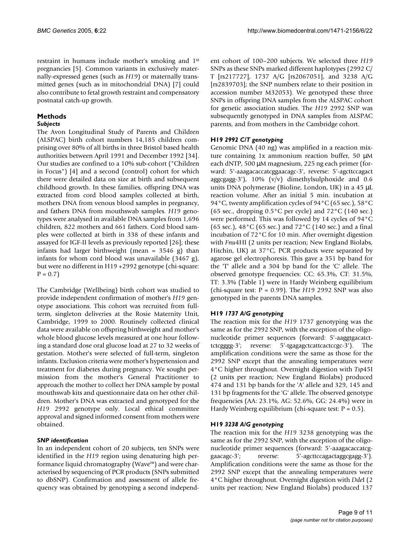restraint in humans include mother's smoking and 1st pregnancies [5]. Common variants in exclusively maternally-expressed genes (such as *H19*) or maternally transmitted genes (such as in mitochondrial DNA) [7] could also contribute to fetal growth restraint and compensatory postnatal catch-up growth.

# **Methods**

### *Subjects*

The Avon Longitudinal Study of Parents and Children (ALSPAC) birth cohort numbers 14,185 children comprising over 80% of all births in three Bristol based health authorities between April 1991 and December 1992 [34]. Our studies are confined to a 10% sub-cohort ("Children in Focus") [4] and a second (control) cohort for which there were detailed data on size at birth and subsequent childhood growth. In these families, offspring DNA was extracted from cord blood samples collected at birth, mothers DNA from venous blood samples in pregnancy, and fathers DNA from mouthswab samples. *H19* genotypes were analysed in available DNA samples from 1,696 children, 822 mothers and 661 fathers. Cord blood samples were collected at birth in 338 of these infants and assayed for IGF-II levels as previously reported [26]; these infants had larger birthweight (mean = 3546 g) than infants for whom cord blood was unavailable (3467 g), but were no different in H19 +2992 genotype (chi-square:  $P = 0.7$ 

The Cambridge (Wellbeing) birth cohort was studied to provide independent confirmation of mother's *H19* genotype associations. This cohort was recruited from fullterm, singleton deliveries at the Rosie Maternity Unit, Cambridge, 1999 to 2000. Routinely collected clinical data were available on offspring birthweight and mother's whole blood glucose levels measured at one hour following a standard dose oral glucose load at 27 to 32 weeks of gestation. Mother's were selected of full-term, singleton infants. Exclusion criteria were mother's hypertension and treatment for diabetes during pregnancy. We sought permission from the mother's General Practitioner to approach the mother to collect her DNA sample by postal mouthswab kits and questionnaire data on her other children. Mother's DNA was extracted and genotyped for the *H19* 2992 genotype only. Local ethical committee approval and signed informed consent from mothers were obtained.

# *SNP identification*

In an independent cohort of 20 subjects, ten SNPs were identified in the *H19* region using denaturing high performance liquid chromatography (Wave™) and were characterised by sequencing of PCR products (SNPs submitted to dbSNP). Confirmation and assessment of allele frequency was obtained by genotyping a second independent cohort of 100–200 subjects. We selected three *H19* SNPs as these SNPs marked different haplotypes (2992 C/ T [rs217727], 1737 A/G [rs2067051], and 3238 A/G [rs2839703]; the SNP numbers relate to their position in accession number M32053). We genotyped these three SNPs in offspring DNA samples from the ALSPAC cohort for genetic association studies. The *H19* 2992 SNP was subsequently genotyped in DNA samples from ALSPAC parents, and from mothers in the Cambridge cohort.

# **H19** *2992 C/T genotyping*

Genomic DNA (40 ng) was amplified in a reaction mixture containing 1x ammonium reaction buffer, 50 µM each dNTP, 500 µM magnesium, 225 ng each primer (forward: 5'-aaagacaccatcggaacagc-3', reverse: 5'-agcttccagact aggcgagg-3'),  $10\%$  (v/v) dimethylsulphoxide and 0.6 units DNA polymerase (Bioline, London, UK) in a 45 µL reaction volume. After an initial 5 min. incubation at 94°C, twenty amplification cycles of 94°C (65 sec.), 58°C (65 sec., dropping  $0.5^{\circ}$ C per cycle) and  $72^{\circ}$ C (140 sec.) were performed. This was followed by 14 cycles of 94°C (65 sec.), 48 °C (65 sec.) and 72 °C (140 sec.) and a final incubation of 72°C for 10 min. After overnight digestion with *Fnu*4HI (2 units per reaction; New England Biolabs, Hitchin, UK) at 37°C, PCR products were separated by agarose gel electrophoresis. This gave a 351 bp band for the 'T' allele and a 304 bp band for the 'C' allele. The observed genotype frequencies: CC: 65.3%, CT: 31.5%, TT: 3.3% (Table [1\)](#page-1-0) were in Hardy Weinberg equilibrium (chi-square test: P = 0.99). The *H19* 2992 SNP was also genotyped in the parents DNA samples.

# **H19** *1737 A/G genotyping*

The reaction mix for the *H19* 1737 genotyping was the same as for the 2992 SNP, with the exception of the oligonucleotide primer sequences (forward: 5'-aaggtgacatcttctcgggg-3'; reverse: 5'-tgagagctcattcactccgc-3'). The amplification conditions were the same as those for the 2992 SNP except that the annealing temperatures were 4°C higher throughout. Overnight digestion with *Tsp*45I (2 units per reaction; New England Biolabs) produced 474 and 131 bp bands for the 'A' allele and 329, 145 and 131 bp fragments for the 'G' allele. The observed genotype frequencies (AA: 23.1%, AG: 52.6%, GG: 24.4%) were in Hardy Weinberg equilibrium (chi-square test:  $P = 0.5$ ).

#### **H19** *3238 A/G genotyping*

The reaction mix for the *H19* 3238 genotyping was the same as for the 2992 SNP, with the exception of the oligonucleotide primer sequences (forward: 5'-aaagacaccatcggaacagc-3'; reverse: 5'-agcttccagactaggcgagg-3'). Amplification conditions were the same as those for the 2992 SNP except that the annealing temperatures were 4°C higher throughout. Overnight digestion with *Dde*I (2 units per reaction; New England Biolabs) produced 137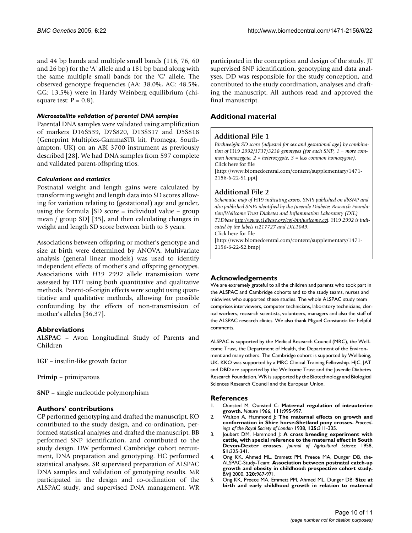and 44 bp bands and multiple small bands (116, 76, 60 and 26 bp) for the 'A' allele and a 181 bp band along with the same multiple small bands for the 'G' allele. The observed genotype frequencies (AA: 38.0%, AG: 48.5%, GG: 13.5%) were in Hardy Weinberg equilibrium (chisquare test:  $P = 0.8$ ).

#### *Microsatellite validation of parental DNA samples*

Parental DNA samples were validated using amplification of markers D16S539, D7S820, D13S317 and D5S818 (Geneprint Multiplex-GammaSTR kit, Promega, Southampton, UK) on an ABI 3700 instrument as previously described [28]. We had DNA samples from 597 complete and validated parent-offspring trios.

#### *Calculations and statistics*

Postnatal weight and length gains were calculated by transforming weight and length data into SD scores allowing for variation relating to (gestational) age and gender, using the formula [SD score = individual value – group mean / group SD] [35], and then calculating changes in weight and length SD score between birth to 3 years.

Associations between offspring or mother's genotype and size at birth were determined by ANOVA. Multivariate analysis (general linear models) was used to identify independent effects of mother's and offspring genotypes. Associations with *H19* 2992 allele transmission were assessed by TDT using both quantitative and qualitative methods. Parent-of-origin effects were sought using quantitative and qualitative methods, allowing for possible confounding by the effects of non-transmission of mother's alleles [36,37].

#### **Abbreviations**

**ALSPAC** – Avon Longitudinal Study of Parents and Children

**IGF** – insulin-like growth factor

**Primip** – primiparous

**SNP** – single nucleotide polymorphism

#### **Authors' contributions**

CP performed genotyping and drafted the manuscript. KO contributed to the study design, and co-ordination, performed statistical analyses and drafted the manuscript. BB performed SNP identification, and contributed to the study design. DW performed Cambridge cohort recruitment, DNA preparation and genotyping. HC performed statistical analyses. SR supervised preparation of ALSPAC DNA samples and validation of genotyping results. MR participated in the design and co-ordination of the ALSPAC study, and supervised DNA management. WR participated in the conception and design of the study. JT supervised SNP identification, genotyping and data analyses. DD was responsible for the study conception, and contributed to the study coordination, analyses and drafting the manuscript. All authors read and approved the final manuscript.

### **Additional material**

### **Additional File 1**

*Birthweight SD score (adjusted for sex and gestational age) by combination of* H19 *2992/1737/3238 genotypes (for each SNP, 1 = more common homozygote, 2 = heterozygote, 3 = less common homozygote).* Click here for file [\[http://www.biomedcentral.com/content/supplementary/1471-](http://www.biomedcentral.com/content/supplementary/1471-2156-6-22-S1.ppt) 2156-6-22-S1.ppt]

### **Additional File 2**

*Schematic map of* H19 *indicating exons, SNPs published on dbSNP and also published SNPs identified by the Juvenile Diabetes Research Foundation/Wellcome Trust Diabetes and Inflammation Laboratory (DIL) T1Dbase<http://www.t1dbase.org/cgi-bin/welcome.cgi>.* H19 *2992 is indicated by the labels rs217727 and DIL1049.* Click here for file [\[http://www.biomedcentral.com/content/supplementary/1471-](http://www.biomedcentral.com/content/supplementary/1471-2156-6-22-S2.bmp) 2156-6-22-S2.bmp]

#### **Acknowledgements**

We are extremely grateful to all the children and parents who took part in the ALSPAC and Cambridge cohorts and to the study teams, nurses and midwives who supported these studies. The whole ALSPAC study team comprises interviewers, computer technicians, laboratory technicians, clerical workers, research scientists, volunteers, managers and also the staff of the ALSPAC research clinics. We also thank Miguel Constancia for helpful comments.

ALSPAC is supported by the Medical Research Council (MRC), the Wellcome Trust, the Department of Health, the Department of the Environment and many others. The Cambridge cohort is supported by Wellbeing, UK. KKO was supported by a MRC Clinical Training Fellowship. HJC, JAT and DBD are supported by the Wellcome Trust and the Juvenile Diabetes Research Foundation. WR is supported by the Biotechnology and Biological Sciences Research Council and the European Union.

#### **References**

- 1. Ounsted M, Ounsted C: **Maternal regulation of intrauterine growth.** *Nature* 1966, **111:**995-997.
- 2. Walton A, Hammond J: **The maternal effects on growth and conformation in Shire horse-Shetland pony crosses.** *Proceedings of the Royal Society of London* 1938, **125:**311-335.
- 3. Joubert DM, Hammond J: **A cross breeding experiment with cattle, with special reference to the maternal effect in South Devon-Dexter crosses.** *Journal of Agricultural Science* 1958, **51:**325-341.
- 4. Ong KK, Ahmed ML, Emmett PM, Preece MA, Dunger DB, the-ALSPAC-Study-Team: **[Association between postnatal catch-up](http://www.ncbi.nlm.nih.gov/entrez/query.fcgi?cmd=Retrieve&db=PubMed&dopt=Abstract&list_uids=10753147) [growth and obesity in childhood: prospective cohort study.](http://www.ncbi.nlm.nih.gov/entrez/query.fcgi?cmd=Retrieve&db=PubMed&dopt=Abstract&list_uids=10753147)** *BMJ* 2000, **320:**967-971.
- 5. Ong KK, Preece MA, Emmett PM, Ahmed ML, Dunger DB: **[Size at](http://www.ncbi.nlm.nih.gov/entrez/query.fcgi?cmd=Retrieve&db=PubMed&dopt=Abstract&list_uids=12438662) [birth and early childhood growth in relation to maternal](http://www.ncbi.nlm.nih.gov/entrez/query.fcgi?cmd=Retrieve&db=PubMed&dopt=Abstract&list_uids=12438662)**